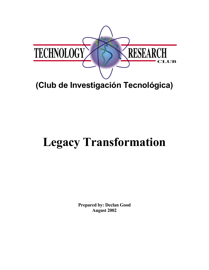

## **(Club de Investigación Tecnológica)**

# **Legacy Transformation**

**Prepared by: Declan Good August 2002**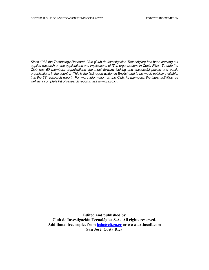*Since 1988 the Technology Research Club (Club de Investigación Tecnológica) has been carrying out applied research on the applications and implications of IT in organizations in Costa Rica. To date the Club has 60 members organizations, the most forward looking and successful private and public organizations in the country. This is the first report written in English and to be made publicly available, it is the 33rd research report. For more information on the Club, its members, the latest activities, as well as a complete list of research reports, visit www.cit.co.cr,* 

> **Edited and published by Club de Investigación Tecnológica S.A. All rights reserved. Additional free copies from [leda@cit.co.cr](mailto:leda@cit.co.cr) or www.artinsoft.com San José, Costa Rica**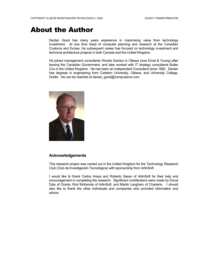## About the Author

Declan Good has many years experience in maximising value from technology investment. At one time head of computer planning and research at the Canadian Customs and Excise, his subsequent career has focused on technology investment and technical architecture projects in both Canada and the United Kingdom.

He joined management consultants Woods Gordon in Ottawa (now Ernst & Young) after leaving the Canadian Government, and later worked with IT strategy consultants Butler Cox in the United Kingdom. He has been an Independent Consultant since 1992. Declan has degrees in engineering from Carleton University, Ottawa, and University College, Dublin. He can be reached at declan\_good@compuserve.com



#### **Acknowledgements**

This research project was carried out in the United Kingdom for the Technology Research Club (Club de Investigación Tecnológica) with sponsorship from ArtinSoft.

I would like to thank Carlos Araya and Roberto Sasso of ArtinSoft for their help and encouragement in completing the research. Significant contributions were made by Donal Daly of Oracle, Rod McKenzie of ArtinSoft, and Martin Langham of Charteris. I should also like to thank the other individuals and companies who provided information and advice.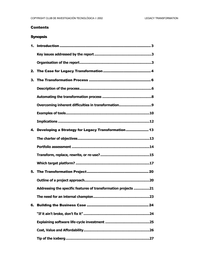#### **Contents**

#### **Synopsis**

| 4. Developing a Strategy for Legacy Transformation 13          |
|----------------------------------------------------------------|
|                                                                |
|                                                                |
|                                                                |
|                                                                |
|                                                                |
|                                                                |
| Addressing the specific features of transformation projects 21 |
| .23                                                            |
|                                                                |
|                                                                |
|                                                                |
|                                                                |
|                                                                |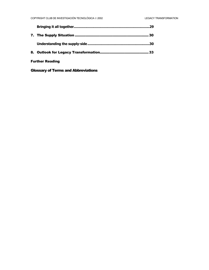|                        | 29  |
|------------------------|-----|
|                        | 30  |
|                        | .30 |
|                        |     |
| <b>Further Reading</b> |     |

#### Glossary of Terms and Abbreviations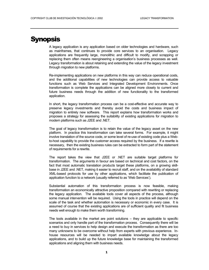## **Synopsis**

A legacy application is any application based on older technologies and hardware, such as mainframes, that continues to provide core services to an organisation. Legacy applications are frequently large, monolithic and difficult to modify, and scrapping or replacing them often means reengineering a organisation's business processes as well. Legacy transformation is about retaining and extending the value of the legacy investment through migration to new platforms.

Re-implementing applications on new platforms in this way can reduce operational costs, and the additional capabilities of new technologies can provide access to valuable functions such as Web Services and Integrated Development Environments. Once transformation is complete the applications can be aligned more closely to current and future business needs through the addition of new functionality to the transformed application.

In short, the legacy transformation process can be a cost-effective and accurate way to preserve legacy investments and thereby avoid the costs and business impact of migration to entirely new software. This report explains how transformation works and proposes a strategy for assessing the suitability of existing applications for migration to modern platforms such as J2EE and .NET.

The goal of legacy transformation is to retain the value of the legacy asset on the new platform. In practice this transformation can take several forms. For example, it might involve translation of the source code, or some level of re-use of existing code plus a Webto-host capability to provide the customer access required by the business. If a rewrite is necessary, then the existing business rules can be extracted to form part of the statement of requirements for a rewrite.

The report takes the view that J2EE or .NET are suitable target platforms for transformation. The arguments in favour are based on technical and cost factors, on the fact that most automatic translation products target these platforms, on a growing skillbase in J2EE and .NET, making it easier to recruit staff, and on the availability of standard XML-based protocols for use by other applications, which facilitate the publication of application function to a network (usually referred to as 'Web Services').

Substantial automation of this transformation process is now feasible, making transformation an economically attractive proposition compared with rewriting or replacing the legacy application. The available tools cover all aspects of the process, although some manual intervention will be required. Using the tools in practice will depend on the scale of the task and whether automation is necessary or economic in every case. It is assumed of course that the existing applications are of sufficient quality and fit business needs well enough to make them worth transforming.

The tools available in the market are point solutions – they are applicable to specific scenarios and only handle part of the transformation process. Consequently there will be a need to buy in services to help design and execute the transformation as there are too many unknowns to be overcome without help from experts with previous experience. Inhouse resources will be needed to impart available knowledge about the legacy applications, and to build up the future knowledge base for maintaining the transformed applications and aligning them with business needs.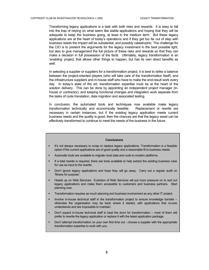Transforming legacy applications is a task with both risks and rewards. It is easy to fall into the trap of relying on what seem like stable applications and hoping that they will be adequate to keep the business going, at least in the medium term. But these legacy applications are at the heart of today's operations and if they get too far out of step with business needs the impact will be substantial, and possibly catastrophic. The challenge for the CIO is to present the arguments for the legacy investment in the best possible light, but also to give management the full picture of these risks and rewards so that they can make a decision in full possession of the facts. Ultimately, legacy transformation is an 'enabling' project, that allows other things to happen, but has its own direct benefits as well.

In selecting a supplier or suppliers for a transformation project, it is best to strike a balance between the project-oriented players (who will take care of the transformation itself), and the infrastructure suppliers and in-house staff who have to make the end-result work every day. In today's state of the art, transformation expertise must be at the heart of the solution delivery. This can be done by appointing an independent project manager (inhouse or contractor), and keeping functional changes and integration work separate from the tasks of code translation, data migration and associated testing.

In conclusion, the automated tools and techniques now available make legacy transformation technically and economically feasible. Replacement or rewrite are necessary in certain instances, but if the existing legacy application meets current business needs and the quality is good, then the chances are that the legacy asset can be effectively transformed to continue to meet the needs of the business in the future.

#### **Conclusions**

- **It's not always necessary to scrap or replace legacy applications. Transformation is a feasible** option if the current applications are of good quality and a reasonable fit to business needs.
- Automatic tools are available to migrate most data and code to modern platforms.
- If a total rewrite is required, there are tools available to help extract the existing business rules for use as input to the rewrite.
- Don't ignore legacy applications and hope they will go away. Carry out a regular audit on 'fitness for purpose'.
- Heads up on Web Services: Evolution of Web Services will put more pressure on to sort out legacy applications and make them accessible to customers and business partners. Start planning now.
- Transformation requires as much planning and business involvement as any other IT project.
- Involve in-house technical staff in the transformation project to ensure knowledge transfer otherwise the organisation may be back where it started, with applications that no-one understands and are impossible to maintain.
- Don't expect in-house technical staff to beat the drum for transformation most of them will prefer to rewrite the legacy application or replace it with the latest application package.
- Don't attempt transformation on your own first time out choose a supplier with the appropriate transformation expertise to work with you.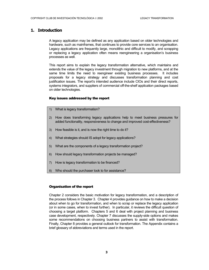#### <span id="page-7-0"></span>**1. Introduction**

A legacy application may be defined as any application based on older technologies and hardware, such as mainframes, that continues to provide core services to an organisation. Legacy applications are frequently large, monolithic and difficult to modify, and scrapping or replacing a legacy application often means reengineering a organisation's business processes as well.

This report aims to explain the legacy transformation alternative, which maintains and extends the value of the legacy investment through migration to new platforms, and at the same time limits the need to reengineer existing business processes. It includes proposals for a legacy strategy and discusses transformation planning and cost justification issues. The report's intended audience include CIOs and their direct reports, systems integrators, and suppliers of commercial off-the-shelf application packages based on older technologies.

#### Key issues addressed by the report

- 1) What is legacy transformation?
- 2) How does transforming legacy applications help to meet business pressures for added functionality, responsiveness to change and improved cost-effectiveness?
- 3) How feasible is it, and is now the right time to do it?
- 4) What strategies should IS adopt for legacy applications?
- 5) What are the components of a legacy transformation project?
- 6) How should legacy transformation projects be managed?
- 7) How is legacy transformation to be financed?
- 8) Who should the purchaser look to for assistance?

#### Organisation of the report

Chapter 2 considers the basic motivation for legacy transformation, and a description of the process follows in Chapter 3. Chapter 4 provides guidance on how to make a decision about when to go for transformation, and when to scrap or replace the legacy application (or in some cases, when to invest further). In particular, it reviews the difficult question of choosing a target platform. Chapters 5 and 6 deal with project planning and business case development, respectively. Chapter 7 discusses the supply-side options and makes some recommendations on choosing business partners to assist with transformation. Finally, Chapter 8 provides a general outlook for transformation. The Appendix contains a brief glossary of abbreviations and terms used in the report.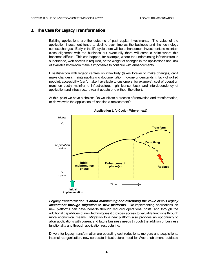#### <span id="page-8-0"></span>**2. The Case for Legacy Transformation**

Existing applications are the outcome of past capital investments. The value of the application investment tends to decline over time as the business and the technology context changes. Early in the life-cycle there will be enhancement investments to maintain close alignment with the business but eventually there will come a point where this becomes difficult. This can happen, for example, where the underpinning infrastructure is superseded, web access is required, or the weight of changes in the applications and lack of available know-how make it impossible to continue with enhancements.

Dissatisfaction with legacy centres on inflexibility (takes forever to make changes, can't make changes), maintainability (no documentation, no-one understands it, lack of skilled people), accessibility (can't make it available to customers, for example), cost of operation (runs on costly mainframe infrastructure, high license fees), and interdependency of application and infrastructure (can't update one without the other).

At this point we have a choice: Do we initiate a process of renovation and transformation, or do we write the application off and find a replacement?



**Application Life-Cycle - Where next?**

*Legacy transformation is about maintaining and extending the value of this legacy investment through migration to new platforms. Re-implementing applications on* new platforms can have benefits through reduced operational costs, and through the additional capabilities of new technologies it provides access to valuable functions through more economical means. Migration to a new platform also provides an opportunity to align applications with current and future business needs through the addition of business functionality and through application restructuring.

Drivers for legacy transformation are operating cost reductions, mergers and acquisitions, internal reorganisation, new corporate infrastructure, need for Web-enablement, outdated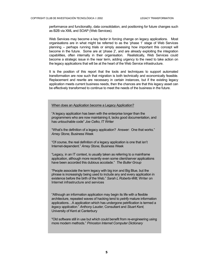performance and functionality, data consolidation, and positioning for future changes such as B2B via XML and SOAP (Web Services).

Web Services may become a key factor in forcing change on legacy applications.Most organisations are in what might be referred to as the 'phase 1' stage of Web Services planning – perhaps running trials or simply assessing how important this concept will become in the future. Some are at 'phase 2', and are already exploiting the integration capabilities, often internally in their organisation. Realistically, Web Services could become a strategic issue in the near term, adding urgency to the need to take action on the legacy applications that will be at the heart of the Web Service infrastructure.

It is the position of this report that the tools and techniques to support automated transformation are now such that migration is both technically and economically feasible. Replacement and rewrite are necessary in certain instances, but if the existing legacy application meets current business needs, then the chances are that this legacy asset can be effectively transformed to continue to meet the needs of the business in the future.

#### When does an Application become a Legacy Application?

"A legacy application has been with the enterprise longer than the programmers who are now maintaining it, lacks good documentation, and has untouchable code" *Joe Celko,* IT Writer

"What's the definition of a legacy application? Answer: One that works." *Amey Stone,* Business Week

"Of course, the real definition of a legacy application is one that isn't Internet-dependent." *Amey Stone,* Business Week

"Legacy, in an IT context, is usually taken as referring to a mainframe application, although more recently even some client/server applications have been accorded this dubious accolade." *The Butler Group*

"People associate the term legacy with big iron and Big Blue, but the phrase is increasingly being used to include any and every application in existence before the birth of the Web." *Sarah L Roberts-Witt,* Writer on Internet infrastructure and services

"Although an information application may begin its life with a flexible architecture, repeated waves of hacking tend to *petrify* mature information applications…A application which has undergone petrification is termed a *legacy application*." *Anthony Lauder,* Consultant and *Stuart Kent,*  University of Kent at Canterbury

"Old software still in use but which could benefit from re-engineering using more modern methods." *Princeton Internet Computer Dictionary*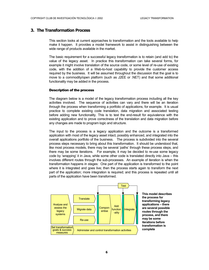#### <span id="page-10-0"></span>**3. The Transformation Process**

This section looks at current approaches to transformation and the tools available to help make it happen. It provides a model framework to assist in distinguishing between the wide range of products available in the market.

The basic requirement for a successful legacy transformation is to retain (and add to) the value of the legacy asset. In practice this transformation can take several forms, for example it might involve translation of the source code, or some level of re-use of existing code, with the addition of a Web-to-host capability to provide the customer access required by the business. It will be assumed throughout the discussion that the goal is to move to a commodity/open platform (such as J2EE or .NET) and that some additional functionality may be added in the process.

#### Description of the process

The diagram below is a model of the legacy transformation process including all the key activities involved. The sequence of activities can vary and there will be an iteration through the process when transforming a portfolio of applications, for example. It is usual practice to complete existing code translation, data migration and associated testing before adding new functionality. This is to test the end-result for equivalence with the existing application and to prove correctness of the translation and data migration before any changes are made to program logic and structure.

The input to the process is a legacy application and the outcome is a transformed application with most of the legacy asset intact, possibly enhanced, and integrated into the overall applications portfolio of the business. The process is subdivided into the several process steps necessary to bring about this transformation. It should be understood that, like most process models, there may be several 'paths' through these process steps, and there may be some iterations. For example, it may be decided to re-use some legacy code by 'wrapping' it in Java, while some other code is translated directly into Java – this involves different routes through the sub-processes. An example of iteration is when the transformation happens in stages: One part of the application is transformed to the point where it is integrated and goes live; then the process starts again to transform the next part of the application; more integration is required; and this process is repeated until all parts of the application have been transformed.



**This model describes the process for transforming legacy applications – there are several possible routes through the process, and there may be some iterations before transformation is complete**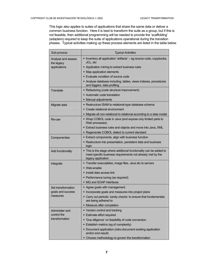This logic also applies to suites of applications that share the same data or deliver a common business function. Here it is best to transform the suite as a group, but if this is not feasible, then additional programming will be needed to provide the 'scaffolding' (adapters) required to keep the suite of applications operational during the transition phases. Typical activities making up these process elements are listed in the table below.

| Sub-process                      | <b>Typical Activities</b>                                                                                                                              |  |  |  |  |
|----------------------------------|--------------------------------------------------------------------------------------------------------------------------------------------------------|--|--|--|--|
| Analyse and assess<br>the legacy | • Inventory all application 'artifacts' - eg source code, copybooks,<br>JCL, etc                                                                       |  |  |  |  |
| applications                     | • Application mining to extract business rules                                                                                                         |  |  |  |  |
|                                  | • Map application elements                                                                                                                             |  |  |  |  |
|                                  | • Evaluate condition of source code                                                                                                                    |  |  |  |  |
|                                  | Analyse database including, tables, views indexes, procedures<br>and triggers, data profiling                                                          |  |  |  |  |
| Translate                        | Refactoring (code structure improvement)                                                                                                               |  |  |  |  |
|                                  | • Automatic code translation                                                                                                                           |  |  |  |  |
|                                  | • Manual adjustments                                                                                                                                   |  |  |  |  |
| Migrate data                     | • Restructure ISAM to relational-type database schema                                                                                                  |  |  |  |  |
|                                  | • Create relational environment                                                                                                                        |  |  |  |  |
|                                  | • Migrate all non-relational to relational according to a data model                                                                                   |  |  |  |  |
| Re-use                           | " Wrap COBOL code in Java (and expose only limited parts to<br>Web processes)                                                                          |  |  |  |  |
|                                  | Extract business rules and objects and move into Java, XML                                                                                             |  |  |  |  |
|                                  | • Regenerate COBOL dialect to current standard                                                                                                         |  |  |  |  |
| Componentise                     | Extract components, align with business function                                                                                                       |  |  |  |  |
|                                  | • Restructure into presentation, persistent data and business<br>logic                                                                                 |  |  |  |  |
| Add functionality                | • This is the stage where additional functionality can be added to<br>meet specific business requirements not already met by the<br>legacy application |  |  |  |  |
| Integrate                        | Transfer executables, image files, Java etc to servers                                                                                                 |  |  |  |  |
|                                  | • Web-enable                                                                                                                                           |  |  |  |  |
|                                  | lnstall data access link                                                                                                                               |  |  |  |  |
|                                  | • Performance tuning (as required)                                                                                                                     |  |  |  |  |
|                                  | • MQ and SOAP interfaces                                                                                                                               |  |  |  |  |
| Set transformation               | • Agree goals with management                                                                                                                          |  |  |  |  |
| goals and success                | • Incorporate goals and measures into project plans                                                                                                    |  |  |  |  |
| measures                         | • Carry out periodic 'sanity checks' to ensure that fundamentals<br>are being adhered to                                                               |  |  |  |  |
|                                  | • Measure after completion                                                                                                                             |  |  |  |  |
| Administer and                   | • Version control and tracking                                                                                                                         |  |  |  |  |
| control the                      | <b>Estimate effort required</b>                                                                                                                        |  |  |  |  |
| transformation                   | 'Due diligence' on feasibility of code conversion<br>٠                                                                                                 |  |  |  |  |
|                                  | • Establish metrics (eg of complexity)                                                                                                                 |  |  |  |  |
|                                  | • Document application (retro-document existing application<br>and/or end result)                                                                      |  |  |  |  |
|                                  | • Choose methodology to govern the transformation                                                                                                      |  |  |  |  |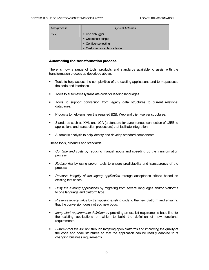<span id="page-12-0"></span>

| Sub-process | <b>Typical Activities</b>               |
|-------------|-----------------------------------------|
| Test        | • Use debugger<br>• Create test scripts |
|             | • Confidence testing                    |
|             | • Customer acceptance testing           |

#### Automating the transformation process

There is now a range of tools, products and standards available to assist with the transformation process as described above:

- Tools to help assess the complexities of the existing applications and to map/assess the code and interfaces.
- **Tools to automatically translate code for leading languages.**
- Tools to support conversion from legacy data structures to current relational databases.
- Products to help engineer the required B2B, Web and client-server structures.
- Standards such as XML and JCA (a standard for synchronous connection of J2EE to applications and transaction processors) that facilitate integration.
- Automatic analysis to help identify and develop standard components.

These tools, products and standards:

- *Cut time and costs* by reducing manual inputs and speeding up the transformation process.
- *Reduce risk* by using proven tools to ensure predictability and transparency of the process.
- *Preserve integrity of the legacy application* through acceptance criteria based on existing test cases.
- *Unify the existing applications* by migrating from several languages and/or platforms to one language and platform type.
- **Preserve legacy value by transposing existing code to the new platform and ensuring** that the conversion does not add new bugs.
- *Jump-start requirements definition* by providing an explicit requirements base-line for the existing applications on which to build the definition of new functional requirements.
- *Future-proof the solution* through targeting open platforms and improving the quality of the code and code structures so that the application can be readily adapted to fit changing business requirements.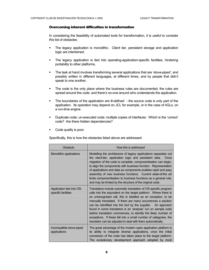#### <span id="page-13-0"></span>Overcoming inherent difficulties in transformation

In considering the feasibility of automated tools for transformation, it is useful to consider this list of obstacles:

- The legacy application is monolithic. Client tier, persistent storage and application logic are intertwined.
- The legacy application is tied into operating-application-specific facilities, hindering portability to other platforms.
- The task at hand involves transforming several applications that are 'stove-piped', and possibly written in different languages, at different times, and by people that didn't speak to one another.
- The code is the only place where the business rules are documented, the rules are spread around the code, and there's no-one around who understands the application.
- The boundaries of the application are ill-defined the source code is only part of the application. Its operation may depend on JCL for example, or in the case of 4GLs, on a run-time engine.
- Duplicate code; un-executed code; multiple copies of interfaces: Which is the 'correct' code? Are there hidden dependencies?
- Code quality is poor.

Specifically, this is how the obstacles listed above are addressed:

| Obstacle                                         | How this is addressed                                                                                                                                                                                                                                                                                                                                                                                                                                                                                                                                                                                         |  |  |  |
|--------------------------------------------------|---------------------------------------------------------------------------------------------------------------------------------------------------------------------------------------------------------------------------------------------------------------------------------------------------------------------------------------------------------------------------------------------------------------------------------------------------------------------------------------------------------------------------------------------------------------------------------------------------------------|--|--|--|
| Monolithic applications                          | Modelling the architecture of legacy applications separates out<br>the client-tier, application logic and persistent data.<br>Once<br>migration of the code is complete, componentisation can begin,<br>to align the components with business function. Representation<br>of applications and data as components enables rapid and easy<br>assembly of new business functions. Current state-of-the art<br>limits componentisation to business functions as a general rule,<br>and may be limited by the structure of the original code.                                                                      |  |  |  |
| Application tied into OS-<br>specific facilities | Translators include automatic translation of OS-specific program<br>calls into the equivalent on the target platform. Where there is<br>an unrecognised call, this is labelled as an exception, to be<br>manually translated. If there are many occurrences a solution<br>can be retrofitted into the tool by the supplier. An approach<br>found in some translators is an 'analysis' run on sample code<br>before translation commences, to identify the likely number of<br>exceptions. If these fall into a small number of categories, the<br>translator can be adjusted to deal with them automatically. |  |  |  |
| Incompatible stove-piped<br>applications         | The great advantage of the modern open application platform is<br>its ability to integrate diverse applications, once the initial<br>conversion of the code has taken place to the target platform.<br>The evolutionary development approach adopted by most                                                                                                                                                                                                                                                                                                                                                  |  |  |  |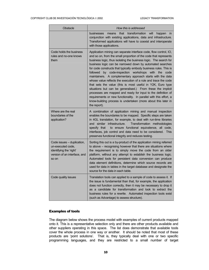<span id="page-14-0"></span>

| Obstacle                                                                                                            | How this is addressed                                                                                                                                                                                                                                                                                                                                                                                                                                                                                                                                                                                                                                                                                                                                                                                                                                                                           |
|---------------------------------------------------------------------------------------------------------------------|-------------------------------------------------------------------------------------------------------------------------------------------------------------------------------------------------------------------------------------------------------------------------------------------------------------------------------------------------------------------------------------------------------------------------------------------------------------------------------------------------------------------------------------------------------------------------------------------------------------------------------------------------------------------------------------------------------------------------------------------------------------------------------------------------------------------------------------------------------------------------------------------------|
|                                                                                                                     | that<br>transformation<br>businesses<br>will<br>means<br>happen<br><i>in</i><br>conjunction with existing applications, data and infrastructure.<br>Transformed applications will have to coexist and interoperate<br>with those applications.                                                                                                                                                                                                                                                                                                                                                                                                                                                                                                                                                                                                                                                  |
| Code holds the business<br>rules and no-one knows<br>them                                                           | Application mining can separate interface code, flow control, IO,<br>and so on, from the small proportion of the code that represents<br>business logic, thus isolating the business logic. The search for<br>business logic can be narrowed down by automated searches<br>for code constructs that typically embody business rules. This is<br>by code-inspection workshops with the<br>followed<br>code<br>maintainers. A complementary approach starts with the data<br>whose value reflects the execution of a rule and trace the code<br>that sets the value (this is most useful in Y2K, Euro type<br>situations but can be generalised.) From these the implicit<br>processes are mapped and ready for input to the definition of<br>requirements or new functionality. In parallel with this effort, a<br>know-building process is undertaken (more about this later in<br>the report). |
| Where are the real<br>boundaries of the<br>application?                                                             | A combination of application mining and manual inspection<br>enables the boundaries to be mapped. Specific steps are taken<br>in 4GL translation, for example, to deal with run-time libraries<br>and similar infrastructure.<br>Transformation methodologies<br>to ensure functional equivalence, all code,<br>specify that<br>interfaces, job control and data need to be considered. This<br>preserves functional integrity and reduces testing.                                                                                                                                                                                                                                                                                                                                                                                                                                             |
| Code issues – duplication,<br>un-executed code,<br>identifying the 'right'<br>version of an interface, and<br>so on | Sorting this out is a by-product of the application mining referred<br>to above - recognising however that there are situations where<br>the requirement is to simply move the code from an older<br>platform, without any attempt to establish the business logic.<br>Automated tools for persistent data conversion can produce<br>data element definitions, determine which source records are<br>used for data in tables in the target database and designate the<br>source for the data in each table.                                                                                                                                                                                                                                                                                                                                                                                     |
| Code quality issues                                                                                                 | Translation tools can applied to a sample of code to assess it. If<br>the issue is fundamental than that, for example, the application<br>does not function correctly, then it may be necessary to drop it<br>as a candidate for transformation and look to extract the<br>business rules for a rewrite. Automated inspection tools exist<br>(such as Advantage) to assess structure).                                                                                                                                                                                                                                                                                                                                                                                                                                                                                                          |

#### Examples of tools

The diagram below shows the process model with examples of current products mapped onto it. This is a representative selection only and there are other products available and other suppliers operating in this space. The list does demonstrate that available tools cover the whole process in one way or another. It should be noted that most of these products are 'point solutions'. That is, they typically deal with one or two specific programming languages, and they are restricted to a small number of target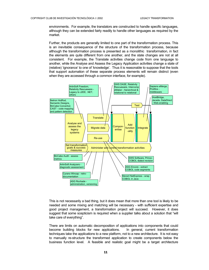environments. For example, the translators are constructed to handle specific languages, although they can be extended fairly readily to handle other languages as required by the market.

Further, the products are generally limited to one part of the transformation process. This is an inevitable consequence of the structure of the transformation process, because although the transformation process is presented as a monolithic transformation, in fact the elements are quite different from one another, and the state changes are not at all consistent. For example, the Translate activities change code from one language to another, while the Analyse and Assess the Legacy Application activities change a state of (relative) 'ignorance' to one of 'knowledge'. Thus it is reasonable to suppose that the tools that support automation of these separate process elements will remain distinct (even when they are accessed through a common interface, for example).



This is not necessarily a bad thing, but it does mean that more than one tool is likely to be needed and some mixing and matching will be necessary - with sufficient expertise and good project management, a transformation project will succeed. However, it does suggest that some scepticism is required when a supplier talks about a solution that "will take care of everything".

There are limits on automatic decomposition of applications into components that could become building blocks for new applications. In general, current transformation techniques take the applications to a new platform, not to a new architecture. It is not easy to manually re-structure the transformed application to create components below the business function level. A feasible and realistic goal might be a target architecture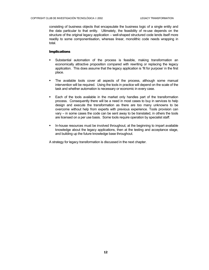<span id="page-16-0"></span>consisting of business objects that encapsulate the business logic of a single entity and the data particular to that entity. Ultimately, the feasibility of re-use depends on the structure of the original legacy application – well-shaped structured code lends itself more readily to some componentisation, whereas linear, monolithic code needs wrapping in total.

#### Implications

- Substantial automation of the process is feasible, making transformation an economically attractive proposition compared with rewriting or replacing the legacy application. This does assume that the legacy application is 'fit for purpose' in the first place.
- The available tools cover all aspects of the process, although some manual intervention will be required. Using the tools in practice will depend on the scale of the task and whether automation is necessary or economic in every case.
- Each of the tools available in the market only handles part of the transformation process. Consequently there will be a need in most cases to buy in services to help design and execute the transformation as there are too many unknowns to be overcome without help from experts with previous experience. Tools provision can vary – in some cases the code can be sent away to be translated, in others the tools are licensed on a per use basis. Some tools require operation by specialist staff.
- **In-house resources must be involved throughout, at the beginning to impart available** knowledge about the legacy applications, then at the testing and acceptance stage, and building up the future knowledge base throughout.

A strategy for legacy transformation is discussed in the next chapter.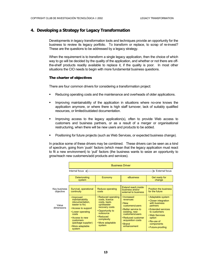#### <span id="page-17-0"></span>**4. Developing a Strategy for Legacy Transformation**

Developments in legacy transformation tools and techniques provide an opportunity for the business to review its legacy portfolio. To transform or replace, to scrap of re-invest? These are the questions to be addressed by a legacy strategy.

When the requirement is to transform a single legacy application, then the choice of which way to go will be decided by the quality of the application, and whether or not there are offthe-shelf products readily available to replace it, if the quality is poor. In most other situations the CIO needs to begin with more fundamental business questions.

#### The charter of objectives

There are four common drivers for considering a transformation project:

- Reducing operating costs and the maintenance and overheads of older applications.
- Improving maintainability of the application in situations where no-one knows the application anymore, or where there is high staff turnover, lack of suitably qualified resources, or limited/outdated documentation.
- Improving access to the legacy application(s), often to provide Web access to customers and business partners, or as a result of a merger or organisational restructuring, when there will be new users and products to be added.
- **Positioning for future projects (such as Web Services, or expected business change).**

In practice some of these drivers may be combined. These drivers can be seen as a kind of spectrum, going from 'push' factors (which mean that the legacy application must react to fit a new environment) to 'pull' factors (the business wants to seize an opportunity to grow/reach new customers/add products and services).

|                           | <b>Business Driver</b>                                                                                                                                                                                      |                                                                                                                                                                                  |                                                                                                                                                                                           |                                                                                                                                                                                                    |  |
|---------------------------|-------------------------------------------------------------------------------------------------------------------------------------------------------------------------------------------------------------|----------------------------------------------------------------------------------------------------------------------------------------------------------------------------------|-------------------------------------------------------------------------------------------------------------------------------------------------------------------------------------------|----------------------------------------------------------------------------------------------------------------------------------------------------------------------------------------------------|--|
|                           | Internal focus $\leq$                                                                                                                                                                                       | $\geq$ External focus                                                                                                                                                            |                                                                                                                                                                                           |                                                                                                                                                                                                    |  |
|                           | <b>Deteriorating</b><br>system                                                                                                                                                                              | eBusiness                                                                                                                                                                        | Get ready for<br>change                                                                                                                                                                   |                                                                                                                                                                                                    |  |
|                           |                                                                                                                                                                                                             |                                                                                                                                                                                  |                                                                                                                                                                                           |                                                                                                                                                                                                    |  |
| Key business<br>objective | Survival, operational<br>continuity                                                                                                                                                                         | Reduce operating<br>costs                                                                                                                                                        | Extend reach inside<br>business and/or<br>external to business                                                                                                                            | Position the business<br>for the future                                                                                                                                                            |  |
| Value<br>dimensions       | • Improved<br>maintainability<br>(documentation,<br>easier to fix)<br>• Access to support<br>• Lower operating<br>costs<br>• Access to new<br>customers<br>(package supplier)<br>• More adaptable<br>system | • Reduced operating<br>costs, licence<br>costs, back-<br>up/disaster<br>recovery costs<br>• Opportunity to<br>outsource<br>• Reduced<br>complexity<br>• More adaptable<br>system | • Increased<br>revenues<br>• New<br>customers/users<br>• Better service to<br>existing, new<br>customers/users<br>• Reduced customer<br>acquisition costs<br>$\cdot$ Brand<br>enhancement | • Adaptable system<br>• Closer integration<br>with business<br>partners<br>• Extended services<br>to customers<br>• Web Services<br>option<br>$\cdot$ Re-use of<br>components<br>• Future-proofing |  |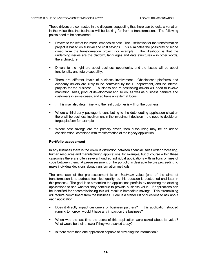<span id="page-18-0"></span>These drivers are contrasted in the diagram, suggesting that there can be quite a variation in the value that the business will be looking for from a transformation. The following points need to be considered:

- Drivers to the left of the model emphasise cost. The justification for the transformation project is based on survival and cost savings. This eliminates the possibility of scope creep from the transformation project (for example). The likelihood is that the underlying issues are the platform, languages and data structures – in other words, the architecture.
- Drivers to the right are about business opportunity, and the issues will be about functionality and future capability.
- There are different levels of business involvement. Obsolescent platforms and economy drivers are likely to be controlled by the IT department, and be internal projects for the business. E-business and re-positioning drivers will need to involve marketing, sales, product development and so on, as well as business partners and customers in some cases, and so have an external focus.
- ….this may also determine who the real customer is IT or the business.
- Where a third-party package is contributing to the deteriorating application situation there will be business involvement in the investment decision – the need to decide on target platform for example.
- Where cost savings are the primary driver, then outsourcing may be an added consideration, combined with transformation of the legacy application.

#### Portfolio assessment

In any business there is the obvious distinction between financial, sales order processing, human resources and manufacturing applications, for example, but of course within these categories there are often several hundred individual applications with millions of lines of code between them. A pre-assessment of the portfolio is desirable before proceeding to make individual decisions about transformation methods.

The emphasis of the pre-assessment is on *business* value (one of the aims of transformation is to address technical quality, so this question is postponed until later in this process). The goal is to streamline the applications portfolio by reviewing the existing applications to see whether they continue to provide business value. If applications can be identified for decommissioning this will result in immediate savings. This streamlining will require commitment from the business. Here is a starter list of questions to ask about each application:

- Does it directly impact customers or business partners? If this application stopped running tomorrow, would it have any impact on the business?
- When was the last time the users of this application were asked about its value? What would be their answer if they were asked today?
- Is there more than one application capable of providing the information?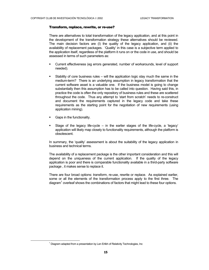#### <span id="page-19-0"></span>Transform, replace, rewrite, or re-use?

There are alternatives to total transformation of the legacy application, and at this point in the development of the transformation strategy these alternatives should be reviewed. The main decision factors are (I) the quality of the legacy application, and (ii) the availability of replacement packages. 'Quality' in this case is a subjective term applied to the application itself, regardless of the platform it runs on or the code in use, and should be assessed in terms of such parameters as:

- Current effectiveness (eg errors generated, number of workarounds, level of support needed).
- Stability of core business rules will the application logic stay much the same in the medium-term? There is an underlying assumption in legacy transformation that the current software asset is a valuable one. If the business model is going to change substantially then this assumption has to be called into question. Having said this, in practice the code is often the only repository of business rules and these are scattered throughout the code. Thus any attempt to 'start from scratch' needs to re-construct and document the requirements captured in the legacy code and take these requirements as the starting point for the negotiation of new requirements (using application mining).
- Gaps in the functionality.
- Stage of the legacy life-cycle in the earlier stages of the life-cycle, a 'legacy' application will likely map closely to functionality requirements, although the platform is obsolescent.

In summary, the 'quality' assessment is about the suitability of the legacy application in business and technical terms.

The availability of a replacement package is the other important consideration and this will depend on the uniqueness of the current application. If the quality of the legacy application is poor and there is comparable functionality available in a third-party software package , it makes sense to replace it.

There are four broad options: transform, re-use, rewrite or replace. As explained earlier, some or all the elements of the transformation process apply to the first three. The diagram $<sup>1</sup>$  $<sup>1</sup>$  $<sup>1</sup>$  overleaf shows the combinations of factors that might lead to these four options.</sup>

<span id="page-19-1"></span><sup>&</sup>lt;u>1</u>  $1$  Diagram adapted from a presentation by Len Erlikh of Relativity Technologies, Inc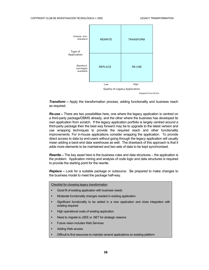

*Transform –* Apply the transformation process, adding functionality and business reach as required.

*Re-use –* There are two possibilities here, one where the legacy application is centred on a third-party package/DBMS already, and the other where the business has developed its own application from scratch. If the legacy application portfolio is largely centred around a third-party package then the best way forward may be to upgrade to the latest version and use wrapping techniques to provide the required reach and other functionality improvements. For in-house applications consider wrapping the application. To provide direct access to data by end-users without going through the legacy application will usually mean adding a back-end data warehouse as well. The drawback of this approach is that it adds more elements to be maintained and two sets of data to be kept synchronised.

*Rewrite –* The key asset here is the business rules and data structures – the application is the problem. Application mining and analysis of code logic and data structures is required to provide the starting point for the rewrite.

*Replace –* Look for a suitable package or outsource. Be prepared to make changes to the business model to meet the package half-way.

Checklist for choosing legacy transformation

- Good fit of existing application with business needs
- Moderate functionality changes needed in existing application
- Significant functionality to be added in a new application and close integration with existing required
- High operational costs of existing application
- Need to migrate to J2EE or .NET for strategic reasons
- Future vision includes Web Services
- Adding Web access
- Difficult to find resources to maintain amend applications on existing platform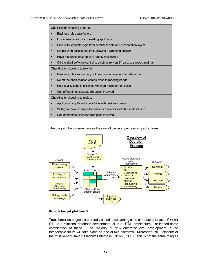<span id="page-21-0"></span>г

The diagram below summarises the overall decision process in graphic form.



#### Which target platform?

Transformation projects are broadly aimed at converting code or modules to Java, C++ (or C#), to a relational database environment, or to a HTML architecture – or indeed some combination of these. The majority of *new* enterprise-level development in the foreseeable future will take place on one of two platforms: Microsoft's .NET platform or the multi-vendor Java 2 Platform Enterprise Edition (J2EE). This is not the same thing as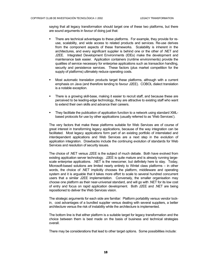saying that all legacy transformation should target one of these two platforms, but there are sound arguments in favour of doing just that:

- There are technical advantages to these platforms. For example, they provide for reuse, scalability, and wide access to related products and services. Re-use derives from the component aspects of these frameworks. Scalability is inherent in the architectures, and every significant supplier is behind one or the other of .NET and J2EE. Integrated Development Environments (IDEs) make the development and maintenance task easier. Application containers (runtime environments) provide the qualities of service necessary for enterprise applications such as transaction handling, security and persistence services. These factors (plus market competition for the supply of platforms) ultimately reduce operating costs.
- Most automatic translation products target these platforms, although with a current emphasis on Java (and therefore tending to favour J2EE). COBOL dialect translation is a notable exception.
- There is a growing skill-base, making it easier to recruit staff, and because these are perceived to be leading-edge technology, they are attractive to existing staff who want to extend their own skills and advance their careers.
- They facilitate the publication of application function to a network using standard XMLbased protocols for use by other applications (usually referred to as 'Web Services').

The very factors that make these platforms suitable for Web Services are of course of great interest in transforming legacy applications, because of the way integration can be facilitated. Most legacy applications form part of an existing portfolio of interrelated and interdependent applications and Web Services are a next step in the evolution of application integration. Drawbacks include the continuing evolution of standards for Web Services and resolution of security issues.

The choice of .NET versus J2EE is the subject of much debate. Both have evolved from existing application server technology. J2EE is quite mature and is already running largescale enterprise applications. .NET is the newcomer, but definitely here to stay. Today, Microsoft-based solutions are limited nearly entirely to Wintel class platforms – in other words, the choice of .NET implicitly chooses the platform, middleware and operating system and it is arguable that it takes more effort to scale to several hundred concurrent users that a similar J2EE implementation. Conversely, the smaller organisation may choose one platform as their near-universal standard, and will go with .NET for its low cost of entry and focus on rapid application development. Both J2EE and .NET are being repositioned to deliver the Web Services vision.

The strategic arguments for each side are familiar: Platform portability versus vendor lockin, cost advantages of a bundled supplier versus dealing with several suppliers, a better architecture versus the risk of instability while the architecture is implemented.

The bottom line is that either platform is a suitable target for legacy transformation and the choice between them is best made on the basis of business and technical strategies overall.

There may be considerations that lead to other target options. Some possibilities include: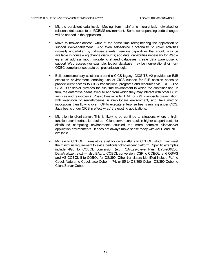- Migrate persistent data level: Moving from mainframe hierarchical, networked or relational databases to an RDBMS environment. Some corresponding code changes will be needed in the application.
- Move to browser access, while at the same time reengineering the application to support Web-enablement: Add Web self-service functionality, to cover activities normally undertaken by in-house agents; remove capabilities that should only be available in-house – eg change discounts; add data, capabilities necessary for Web – eg email address input; migrate to shared databases; create data warehouse to support Web access (for example, legacy database may be non-relational or non-ODBC compliant); separate out presentation logic.
- Built complementary solutions around a CICS legacy: CICS TS V2 provides an EJB execution environment, enabling use of CICS support for EJB session beans to provide client access to CICS transactions, programs and resources via IIOP. (The CICS IIOP server provides the run-time environment in which the container and, in turn, the enterprise beans execute and from which they may interact with other CICS services and resources.) Possibilities include HTML or XML client-side presentation, with execution of servlets/beans in WebSphere environment, and Java method invocations then flowing over IIOP to execute enterprise beans running under CICS. Java beans under CICS in effect 'wrap' the existing applications.
- Migration to client-server: This is likely to be confined to situations where a highfunction user interface is required. Client-server can result in higher support costs for distributed computing environments coupled the more complex client/server application environments. It does not always make sense today with J2EE and .NET available.
- Migrate to COBOL: Translators exist for certain 4GLs to COBOL, which may meet the minimum requirement to exit a particular obsolescent platform. Specific examples include 4GL to COBOL conversion (e.g., CA-Easytrieve Plus, DYL-260/280, DataAnalyzer, etc.) — also BAL to COBOL conversion, CSP to COBOL, and OS/VS and VS COBOL II to COBOL for OS/390. Other translators identified include PL/I to Cobol, Natural to Cobol, also Cobol II, 74, or 85 to OS/390 Cobol, OS/390 Cobol to Client/Server Cobol.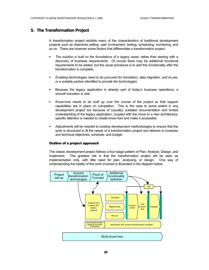#### <span id="page-24-0"></span>**5. The Transformation Project**

A transformation project exhibits many of the characteristics of traditional development projects such as objectives setting, user involvement, testing, scheduling, monitoring, and so on. There are however some factors that differentiate a transformation project:

- *The solution is built on the foundations of a legacy asset*, rather than starting with a discovery of business requirements. Of course there may be additional functional requirements to be added, but the usual procedure is to add this functionality *after* the transformation is complete.
- *Enabling technologies need to be procured for translation, data migration, and re-use, or a suitable partner identified to provide the technologies.*
- Because the legacy application is already part of today's business operations, *a smooth transition is vital.*
- *Know-how needs to be built up over the course of the project* so that support capabilities are in place on completion. This is the case to some extent in any development project but because of (usually) outdated documentation and limited understanding of the legacy application, coupled with the move to a new architecture, specific attention is needed to create know-how and make it accessible.
- *Adjustments will be needed to existing development methodologies* to ensure that the work is structured to fit the needs of a transformation project and delivers to business and technical objectives, schedule, and budget.

#### Outline of a project approach

The classic development project follows a four-stage pattern of Plan, Analyse, Design, and Implement. The greatest risk is that the transformation project will be seen as implementation only, with little need for plan, analysing, or design. One way of understanding the totality of the work involved is illustrated in the diagram below.

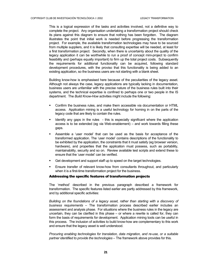<span id="page-25-0"></span>This is a logical expression of the tasks and activities involved, not a definitive way to complete the project. Any organisation undertaking a transformation project should check its plans against this diagram to ensure that nothing has been forgotten. The diagram illustrates the point that initial work is needed before progressing the transformation project. For example, the available transformation technologies may have to be sourced from multiple suppliers, and it is likely that consulting expertise will be needed, at least for a first transformation project. Secondly, when there is uncertainty about the quality of the legacy application it can be worthwhile to run a proof of concept mini-project to confirm feasibility and (perhaps equally important) to firm up the total project costs. Subsequently the requirements for additional functionality can be acquired, following standard development procedures, with the proviso that this functionality is being added to an existing application, so the business users are not starting with a blank sheet.

Building know-how is emphasised here because of the peculiarities of the legacy asset. Although not always the case, legacy applications are typically lacking in documentation, business users are unfamiliar with the precise nature of the business rules built into their systems, and the technical expertise is confined to perhaps one or two people in the IS department. The *Build Know-How* activities might include the following:

- Confirm the business rules, and make them accessible via documentation or HTML access. Application mining is a useful technology for homing in on the parts of the legacy code that are likely to contain the rules.
- Identify any gaps in the rules this is especially significant where the application access is to be extended (eg via Web-enablement) – and work towards filling these gaps.
- Assemble a 'user model' that can be used as the basis for acceptance of the transformed application. The 'user model' contains descriptions of the functionality to be exhibited by the application, the constraints that it must satisfy (eg browser version, hardware), and properties that the application must possess, such as portability, maintainability, security and so on. Review available test scripts and extend these to ensure that the 'user model' can be verified.
- Get development and support staff up to speed on the target technologies.
- Ensure transfer of relevant know-how from consultants throughout, and particularly when it is a first-time transformation project for the business.

#### Addressing the specific features of transformation projects

The 'method' described in the previous paragraph described a framework for transformation. The specific features listed earlier are partly addressed by this framework, and by additional specific activities:

*Building on the foundations of a legacy asset, rather than starting with a discovery of business requirements* – The transformation process described earlier includes an assessment and analysis phase. For situations where the business rules in the legacy are uncertain, they can be clarified in this phase – or where a rewrite is called for, they can form the basis of requirements for development. Application mining tools can be useful in this process. The inclusion of activities to build know-how are complementary to this work and ensure that the legacy asset is well understood.

*Procuring enabling technologies for translation, data migration, and re-use, or a suitable partner identified to provide the technologies –* The framework above provides for this.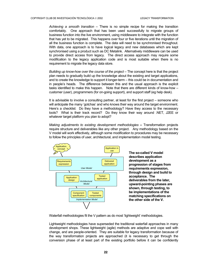*Achieving a smooth transition –* There is no simple recipe for making the transition comfortably. One approach that has been used successfully to migrate groups of business function into the live environment, using middleware to integrate with the function that has yet to be migrated. This happens over four or five iterations until the migration of all the business function is complete. The data will need to be synchronised throughout. With data, one approach is to have logical legacy and new databases which are kept synchronised using a product such as DC Metalink. Alternatively middleware can be used to provide direct access from legacy. The direct access approach may require some modification to the legacy application code and is most suitable when there is no requirement to migrate the legacy data store.

*Building up know-how over the course of the project –* The concept here is that the project plan needs to gradually build up the knowledge about the existing and target applications, and to create the knowledge to support it longer-term – this could be in documentation and in people's heads. The difference between this and the usual approach is the explicit tasks identified to make this happen. Note that there are different kinds of know-how – customer (user), programmers (for on-going support), and support staff (eg help desk).

It is advisable to involve a consulting partner, at least for the first project – someone who will anticipate the many 'gotchas' and who knows their way around the target environment. Here's a checklist: Do they have a methodology? Have they access to the necessary tools? What is their track record? Do they know their way around .NET, J2EE or whatever target platform you plan to adopt?

*Making adjustments to existing development methodologies –* Transformation projects require structure and deliverables like any other project. Any methodology based on the V model will work effectively, although some modification to procedures may be necessary to follow the principles of user, architectural, and implementation model testing.



**The so-called V model describes application development as a progression of stages from requirements expression, through design and build to acceptance. The deliverables from the later, upward-pointing phases are shown, through testing, to be implementations of the matching specifications on the other side of the V.** 

Waterfall methodologies fit the V pattern as do most 'lightweight' methodologies.

Lightweight methodologies have superseded the traditional waterfall approaches in many development shops. These lightweight (agile) methods are adaptive and cope well with change, and are people-oriented. They are suitable for legacy transformation because of the way transformation projects are approached (it is necessary to get through the conversion phase of at least part of the existing portfolio before it can be confidently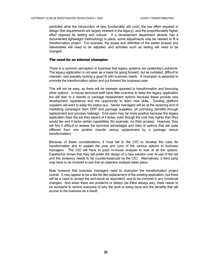<span id="page-27-0"></span>predicted what the introduction of new functionality will cost), the low effort required in design (the requirements are largely inherent in the legacy), and the proportionately higher effort required for testing and cutover. If a development department already has a documented lightweight methodology in place, some adjustments may be needed to fit a transformation project. For example, the scope and definition of the earlier phases and deliverables will need to be adjusted, and activities such as testing will need to be changed.

#### The need for an internal champion

There is a common perception in business that legacy systems are yesterday's solutions. The legacy application is not seen as a basis for going forward, but as outdated, difficult to maintain, and possibly lacking a good fit with business needs. A champion is essential to promote the transformation option and put forward the business case.

This will not be easy, as there will be interests opposed to transformation and favouring other options. In-house technical staff have little incentive to keep the legacy application but will lean to a rewrite or package replacement options because these provide new development experience and the opportunity to learn new skills. Existing platform suppliers will want to keep the status quo. Senior managers will be at the receiving end of marketing campaigns from ERP and package suppliers, all promising benefits through replacement and process redesign. End-users may be more positive because the legacy application does the job they expect of it today, even though the cost may higher than they would like and it lacks certain capabilities (for example, no Web access). However, they will find it difficult to assess the technical advantages and risks of options that are quite different from one another (rewrite versus replacement by a package versus transformation).

Because of these considerations, it must fall to the CIO to develop the case for transformation and to explain the pros and cons of the various options to business managers. The CIO will have to push in-house analysts to look at all the options. Experience shows that they will prefer the design of a new solution over re-use of the old and this tendency needs to be counter-balanced by the CIO. Alternatively, a third party may have to be involved to see that an objective analysis takes place.

Note however that business managers need to champion the transformation project overall. It may appear to be a like-for-like replacement of the existing application, but there will be a need to accept the end-result as equivalent, and to be involved in any functional changes. And when there are problems or delays (as there always are), there needs to be someone to remind everyone of why the work is being done and the benefits that will accrue to the business as a result.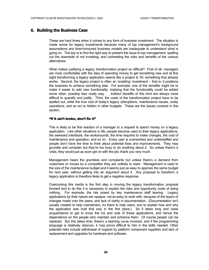#### <span id="page-28-0"></span>**6. Building the Business Case**

These are hard times when it comes to any form of business investment. The situation is made worse for legacy investments because many of top management's background assumptions and time-honoured business models are inadequate to understand what is going on. The key is to find the right way to present the issue to top management, spelling out the downside of not investing, and contrasting the risks and benefits of the various alternatives.

What makes justifying a legacy transformation project so difficult? First of all, managers are most comfortable with the idea of spending money to get something new and at first sight transforming a legacy application seems like a project to 'fix' something that already works. Second, the legacy project is often an 'enabling' investment – that is, it positions the business to achieve something else. For example, one of the benefits might be to make it easier to add new functionality, implying that the functionality could be added some other, possibly less costly way. Indirect benefits of this kind are always more difficult to quantify and justify. Third, the costs of the transformation project have to be spelled out, while the true cost of today's legacy (disruptions, maintenance issues, costly operations, and so on) is hidden in other budgets. These are the issues covered in this section.

#### "If it ain't broke, don't fix it"

This is likely to be first reaction of a manager to a request to spend money on a legacy application. Like other situations in life, people become used to their legacy applications, the awkward interfaces, the workarounds, the time required to make changes, the cost of maintenance and operation, and so on. Every user is overworked and understaffed and people don't have the time to think about potential fixes and improvements. They may grumble and complain but they're too busy to do anything about it. So unless there's a crisis, they would just as soon get on with the job, thank you very much.

Management hears the grumbles and complaints but unless there's a demand from customers or moves by a competitor they are unlikely to react. Management is used to the size of the maintenance budget and it seems just as easy to approve the same budget for next year, without getting into an argument about it. Any proposal to transform a legacy application is therefore likely to get a negative response.

Overcoming this inertia is the first step in moving the legacy transformation proposal forward and to do this it is necessary to explain the risks and opportunity costs of doing nothing. For example, the risk posed by key maintenance staff leaving: Legacy applications by their nature are opaque, not-so-easy to work with, because of the layers of changes made over the years, and lack of clarity in documentation. (Documentation isn't usually created to help maintainers, it's there to help users, and to explain how and why the application was built that way in the first place.) So it takes long and close acquaintance to get to know the ins and outs of these applications, and hence the dependence on the people who maintain and enhance them. Of course people can be replaced. But this takes time, there's a learning curve involved, and if the programming language is relatively obscure, it may prove difficult to hire in the skills needed. Other potential risks include withdrawal of support by platform component suppliers and lack of replacement and upgrades for hardware and software.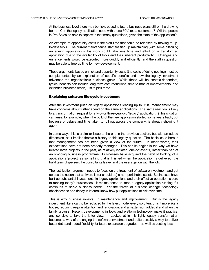<span id="page-29-0"></span>At the business level there may be risks posed to future business plans still on the drawing board. Can the legacy application cope with those 50% extra customers? Will the people in Pre-Sales be able to cope with that many quotations, given the state of the application?

An example of opportunity costs is the staff time that could be released by moving to upto-date tools. The current maintenance staff are tied up maintaining (with some difficulty) an ageing application - this work could take less time and effort on a transformed application due to the availability of tools and their inherent productivity. Changes and enhancements would be executed more quickly and efficiently, and the staff in question may be able to free up time for new development.

These arguments based on risk and opportunity costs (the costs of doing nothing) must be complemented by an explanation of specific benefits and how the legacy investment advances the organisation's business goals. While these will be context-dependent, typical benefits can include long-term cost reductions, time-to-market improvements, and extended business reach, just to pick three.

#### Explaining software life-cycle investment

After the investment push on legacy applications leading up to Y2K, management may have concerns about further spend on the same applications. The same reaction is likely to a transformation request for a two- or three-year-old 'legacy' application. (This situation can arise, for example, when the build of the new application started some years back, but because of delays and time taken to roll out across the company, is already showing it age.)

In some ways this is a similar issue to the one in the previous section, but with an added dimension, as it implies there's a history to this legacy question. The basic issue here is that management has not been given a view of the future. In other words, their expectations have not been properly managed. This has its origins in the way we have treated large projects in the past, as relatively isolated, one-off events, rather than part of an on-going business programme. Businesses have acquired the habit of thinking of a applications 'project' as something that is finished when the application is delivered, the build team disperses, the consultants leave, and the users get on with the job.

The justification argument needs to focus on the treatment of software investment and get across the notion that software is (or should be) a non-perishable asset. Businesses have built up substantial investments in legacy applications and their effective operation is core to running today's businesses. It makes sense to keep a legacy application running if it continues to serve business needs. Yet the forces of business change, technology obsolescence and decay in internal know-how put applications at risk over time.

This is why business invests in maintenance and improvement. But is the legacy investment like a car, to be replaced by the latest model every so often, or is it more like a house, requiring regular attention and renovation, and an extension added if and when the family grows? Recent developments in tools and platform technology make it practical and sensible to take the latter view. Looked at in this light, legacy transformation becomes a way of prolonging the software investment and quite possibly a way to deliver better data and added flexibility for future expansion upgrades – as well as costing less.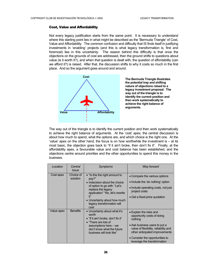#### <span id="page-30-0"></span>Cost, Value and Affordability

Not every legacy justification starts from the same point. It is necessary to understand where this starting point lies in what might be described as the 'Bermuda Triangle' of Cost, Value and Affordability. The common confusion and difficulty that IS finds itself in justifying investments in 'enabling' projects (and this is what legacy transformation is, first and foremost) lies in this uncertainty. The reason behind this difficulty is that once the objections on the grounds of cost are addressed, then the ground shifts to questions about value (is it worth it?), and when *that* question is dealt with, the question of affordability (can we afford it?) is raised. After that, the discussion shifts to why it costs so much in the first place. And so the argument goes around and around.



**The Bermuda Triangle illustrates the potential trap and shifting nature of objections raised to a legacy investment proposal. The way out of the triangle is to identify the current position and then work systematically to achieve the right balance of arguments.** 

The way out of the triangle is to identify the current position and then work systematically to achieve the right balance of arguments. At the 'cost' apex, the central discussion is about how much to spend, what the options are, and which choice is the right one. At the 'value' apex on the other hand, the focus is on how worthwhile the investment is – at its most basic, the objection goes back to "if it ain't broke, then don't fix it". Finally, at the affordability apex, a favourable value and cost balance has been established, and the objections centre around priorities and the other opportunities to spend this money in the business.

| Location   | Central<br><i>Issue</i> | <b>Symptoms</b>                                                                                                                                                                                                                         | Way forward                                                                                                                                                                                                                                    |
|------------|-------------------------|-----------------------------------------------------------------------------------------------------------------------------------------------------------------------------------------------------------------------------------------|------------------------------------------------------------------------------------------------------------------------------------------------------------------------------------------------------------------------------------------------|
| Cost apex  | Choice of<br>solution   | • "Is this the right amount to<br>pay?"<br>• Indecision about the choice<br>of option to go with: "Let's<br>replace the legacy<br>application" "No, let's rewrite<br>• Uncertainty about how much<br>legacy transformation will<br>cost | • Compare the various options<br>• Include the 'do nothing' option<br>• Include operating costs, not just<br>project costs<br>• Get a fixed-price quotation                                                                                    |
| Value apex | <b>Benefits</b>         | • Uncertainty about what it's<br>worth<br>$\bullet$ "If it ain't broke, don't fix it"<br>• "There are lots of<br>assumptions here – we<br>don't know what the future<br>business will look like"                                        | • Explain the risks and<br>opportunity costs of doing<br>nothing<br>• Ask business users to put a<br>value of flexibility, reliability and<br>other anticipated improvements<br>• Consider the opportunities to<br>leverage the transformation |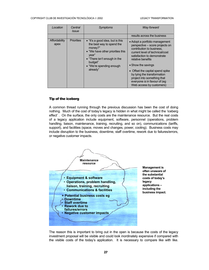#### <span id="page-31-0"></span>COPYRIGHT CLUB DE INVESTIGACIÓN TECNOLÓGICA © 2002 LEGACY TRANSFORMATION

| Location              | Central<br>Symptoms<br>Issue |                                                                                                                                                                                                          | Way forward                                                                                                                                                                                                                                                                                                                                                               |
|-----------------------|------------------------------|----------------------------------------------------------------------------------------------------------------------------------------------------------------------------------------------------------|---------------------------------------------------------------------------------------------------------------------------------------------------------------------------------------------------------------------------------------------------------------------------------------------------------------------------------------------------------------------------|
|                       |                              |                                                                                                                                                                                                          | results across the business                                                                                                                                                                                                                                                                                                                                               |
| Affordability<br>apex | <b>Priorities</b>            | • "It's a good idea, but is this<br>the best way to spend the<br>money?"<br>• "We have other priorities this<br>vear"<br>• "There isn't enough in the<br>budget"<br>• "We're spending enough<br>already" | • Adopt a portfolio management<br>perspective - score projects on<br>contribution to business,<br>current level of technical/cost<br>satisfaction to demonstrate<br>relative benefits<br>• Show the savings<br>• Offset the capital spend spike<br>by tying the transformation<br>project into something that<br>everyone is in favour of (eg<br>Web access by customers) |

#### Tip of the iceberg

A common thread running through the previous discussion has been the cost of doing nothing. Much of the cost of today's legacy is hidden in what might be called the 'iceberg effect' . On the surface, the only costs are the maintenance resource. But the real costs of a legacy application include equipment, software, personnel (operations, problem handling, liaison, maintenance, training, recruiting, and so on), communications (tariffs, support), and facilities (space, moves and changes, power, cooling). Business costs may include disruption to the business, downtime, staff overtime, rework due to failures/errors, or negative customer impacts.



The reason this is important to bring out in the open is because the costs of the legacy investment proposal will be visible and could look inordinately expensive if compared with the visible costs of the today's application. It is necessary to compare like with like.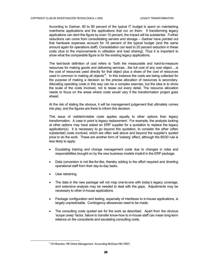According to Gartner, 60 to 80 percent of the typical IT budget is spent on maintaining mainframe applications and the applications that run on them. If transforming legacy applications can dent this figure by even 10 percent, the impact will be substantial. Further reductions can come from consolidating servers and storage – Gartner have pointed out that hardware expenses account for 18 percent of the typical budget (and the same amount again for operations staff). Consolidation can lead to 20 percent reduction in these costs (due to the improvements in utilisation and load sharing). Thus it is important to show what the comparable figure is for the existing legacy applications.

The text-book definition of cost refers to "both the measurable and hard-to-measure resources for making goods and delivering services…the full cost of any cost object….is the cost of resources used directly for that object plus a share of the cost of resources used in common in making all objects"<sup>[2](#page-32-0)</sup>. In this instance the costs are being collected for the purpose of making a decision so the precise allocation of resources is secondary. Allocating operating costs in this way can be a complex exercise, but the idea is to show the scale of the costs involved, not to tease out every detail. The resource allocation needs to focus on the areas where costs would vary if the transformation project goes ahead.

At the risk of stating the obvious, it will be management judgement that ultimately comes into play, and the figures are there to inform this decision.

This issue of visible/invisible costs applies equally to other options than legacy transformation. A case in point is legacy replacement: For example, the analysts looking at other options may have asked an ERP supplier for a quotation to replace the legacy application(s). It is necessary to go beyond this quotation, to consider the other (often substantial) costs involved, which are often well above and beyond the supplier's quoted price to do the work. These are another form of 'iceberg' effect, although the 80/20 rule is less likely to apply:

- Escalating training and change management costs due to changes in roles and responsibilities brought on by the new business models implicit in the ERP package.
- Data conversion is not like-for-like, thereby adding to the effort required and diverting operational staff from their day-to-day tasks.
- User retraining.
- The data in the new package will not map one-to-one with today's legacy coverage, and extensive analysis may be needed to deal with the gaps. Adjustments may be necessary to other in-house applications.
- Package configuration and testing, especially of interfaces to in-house applications, is largely unpredictable. Contingency allowances need to be made.
- The consulting costs quoted are for the work as described. Apart from the obvious 'scope creep' factor, failure to transfer know-how to in-house staff can mean long-term reliance on the consultants and escalating consulting costs.

<span id="page-32-0"></span> <sup>2</sup> CH Brandon, RE Drtina *Management Accounting* McGraw-Hill (1997)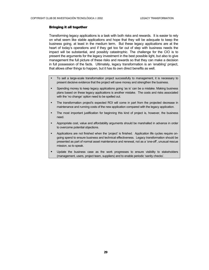#### <span id="page-33-0"></span>Bringing it all together

Transforming legacy applications is a task with both risks and rewards. It is easier to rely on what seem like stable applications and hope that they will be adequate to keep the business going, at least in the medium term. But these legacy applications are at the heart of today's operations and if they get too far out of step with business needs the impact will be substantial, and possibly catastrophic. The challenge for the CIO is to present the arguments for the legacy investment in the best possible light, but also to give management the full picture of these risks and rewards so that they can make a decision in full possession of the facts. Ultimately, legacy transformation is an 'enabling' project, that allows other things to happen, but it has its own direct benefits as well.

- To sell a large-scale transformation project successfully to management, it is necessary to present decisive evidence that the project will save money and strengthen the business.
- Spending money to keep legacy applications going 'as is' can be a mistake. Making business plans based on these legacy applications is another mistake. The costs and risks associated with the 'no change' option need to be spelled out.
- The transformation project's expected ROI will come in part from the projected decrease in maintenance and running costs of the new application compared with the legacy application.
- The most important justification for beginning this kind of project is, however, the business need.
- Appropriate cost, value and affordability arguments should be marshalled in advance in order to overcome potential objections.
- Applications are not finished when the 'project' is finished. Application life cycles require ongoing spend to ensure business and technical effectiveness. Legacy transformation should be presented as part of normal asset maintenance and renewal, not as a 'one-off', unusual rescue mission, so to speak.
- Update the business case as the work progresses to ensure visibility to stakeholders (management, users, project team, suppliers) and to enable periodic 'sanity checks'.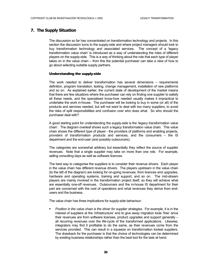#### <span id="page-34-0"></span>**7. The Supply Situation**

The discussion so far has concentrated on transformation technology and projects. In this section the discussion turns to the supply-side and where project managers should look to buy transformation technology and associated services. The concept of a 'legacy transformation value chain' is introduced as a way of understanding the roles of different players on the supply-side. This is a way of thinking about the role that each type of player takes on in the value chain – from this the potential purchaser can take a view of how to go about selecting suitable supply partners.

#### Understanding the supply-side

The work needed to deliver transformation has several dimensions – requirements definition, program translation, testing, change management, installation of new platforms and so on. As explained earlier, the current state of development of the market means that there are few situations where the purchaser can rely on finding one supplier to satisfy all these needs, and the specialised know-how needed usually makes it impractical to undertake the work in-house. The purchaser will be looking to buy in some (or all) of the products and services needed, but will not want to deal with too many suppliers, to avoid the risks of split responsibilities and confusion over who does what. So who should the purchaser deal with?

A good starting point for understanding the supply-side is the 'legacy transformation value chain'. The diagram overleaf shows such a legacy transformation value chain. This value chain shows the different type of player - the providers of platforms and enabling projects, providers of transformation products and services, and the consumers – the IS department and the end-user (and possibly outsourcers).

The categories are somewhat arbitrary but essentially they reflect the source of supplier revenues. Note that a single supplier may take on more than one role. For example, selling consulting days as well as software licences.

The best way to categorise the suppliers is to consider their revenue drivers. Each player in the value chain has different revenue drivers. The players upstream in the value chain (to the left of the diagram) are looking for on-going revenues, from licences and upgrades, hardware and operating systems, training and support, and so on. The mid-stream players are mainly involved in the transformation project itself, so they will achieve what are essentially one-off revenues. Outsourcers and the in-house IS department for their part are concerned with the cost of operations and what revenues they derive from endusers and the business.

The value chain has three implications for supply-side behaviour:

 *Position in the value chain is the driver for supplier strategies.* For example, it is in the interest of suppliers at the 'infrastructure' end to give away migration tools 'free' since their revenues are from software licenses, product upgrades and support generally – all recurring revenues over the life-cycle of the transformed applications. Likewise, integrators may find it profitable to do the same, as their revenues come from the services provided. This can result in a squeeze on transformation toolset suppliers. The drawback for the purchaser is that the choice of technologies can be determined by existing business relationships rather than the best tool for the task at hand.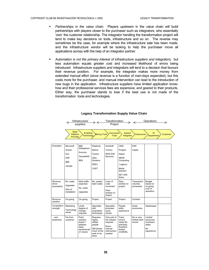'Infrastructure' suppliers

 $\rightarrow$   $\leftarrow$ 

**Operations** 

- *Partnerships in the value chain.* Players upstream in the value chain will build partnerships with players closer to the purchaser such as integrators, who essentially 'own' the customer relationship. The integrator handling the transformation project will tend to make key decisions on tools, infrastructure and so on. The reverse may sometimes be the case, for example where the infrastructure sale has been made, and the infrastructure vendor will be looking to help the purchaser move all applications across with the help of an integrator partner.
- *Automation is not the primary interest of infrastructure suppliers and integrators,* but less automation equals greater cost and increased likelihood of errors being introduced: Infrastructure suppliers and integrators will tend to a decision that favours their revenue position. For example, the integrator makes more money from extended manual effort (since revenue is a function of man-days expended), but this costs more for the purchaser, and manual intervention can lead to the introduction of new bugs in the application. Infrastructure suppliers have limited application knowhow and their professional services fees are expensive, and geared to their products. Either way, the purchaser stands to lose if the best use is not made of the transformation tools and technologies.

|                                 | <b>Base</b><br><b>Platform</b><br>Provider                | Enabling<br><b>Technology</b>                                                  | Mining Tools                                                                                  | Conversion<br><b>Tools</b>                                                           | System<br>Integrator                                                                                            | Outsourcer                            | <b>IS</b><br>Department                                          | Customer |
|---------------------------------|-----------------------------------------------------------|--------------------------------------------------------------------------------|-----------------------------------------------------------------------------------------------|--------------------------------------------------------------------------------------|-----------------------------------------------------------------------------------------------------------------|---------------------------------------|------------------------------------------------------------------|----------|
| Examples                        | Microsoft<br>Oracle<br>Sun<br>SAP<br><b>IBM</b><br>Jacada | <b>IBM</b><br>Websphere<br>Acucorp<br>Oracle9iAS<br><b>BEA</b>                 | Relativity<br>Netron<br>Cyrano<br>Allen<br>Systems<br><b>SEEC</b><br>CAST                     | ArtinSoft<br>Tominy<br>SWS S/W<br>Services                                           | <b>CMG</b><br>Progeni<br>Adpac<br><b>SEER</b><br>Computing<br>LegacyJ<br>Modis<br>Solution<br>NIIT S/W<br>Solns | <b>EDS</b><br>Capita                  |                                                                  |          |
| Revenue<br>driver<br>(examples) | No. seats<br>Upgrades<br>Size of<br>installation          | Web traffic<br>expected<br>No. seats<br>Upgrades                               | No. project<br>team seats                                                                     | Lines of<br>code<br>converted<br>Days<br>worked on<br>project                        | Days<br>worked on<br>project                                                                                    | Transaction<br>volumes<br>processed   | <b>Budget</b><br>based on<br>on-going<br>cost of<br>operation    |          |
| Revenue<br>duration             | On-going                                                  | On-going                                                                       | Project                                                                                       | Project                                                                              | Project                                                                                                         | Contract                              |                                                                  |          |
| Competitive<br>strength         | Marketing<br>Technology<br>owner                          | Limits<br>degree of<br>change<br>required                                      | Specialist<br>with<br>proprietary<br>techniques                                               | Specialist,<br>promises<br>quick<br>results                                          | People<br>skills,<br>experience                                                                                 | Scale<br>economies                    | Gatekeeper                                                       |          |
| …and<br>weakness                | Far from<br>customer                                      | Point<br>solution,<br>doesn't<br>address<br>basic<br>transformati<br>on issues | Requires<br>highly-<br>skilled<br>people<br>Still leaves<br>much of the<br>work to be<br>done | Only part of<br>the solution<br>required<br>Some<br>manual<br>intervention<br>needed | Track<br>record<br>rarely fits<br>precisely,<br>therefore<br>limited<br>credibility                             | No or very<br>limited track<br>record | Limited<br>resources<br>(numbers,<br>skills)<br>No<br>experience |          |

#### **Legacy Transformation Supply Value Chain**

Transformation Project

 $\rightarrow$   $\leftarrow$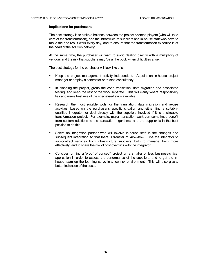#### **Implications for purchasers**

The best strategy is to strike a balance between the project-oriented players (who will take care of the transformation), and the infrastructure suppliers and in-house staff who have to make the end-result work every day, and to ensure that the transformation expertise is at the heart of the solution delivery.

At the same time, the purchaser will want to avoid dealing directly with a multiplicity of vendors and the risk that suppliers may 'pass the buck' when difficulties arise.

The best strategy for the purchaser will look like this:

- Keep the project management activity independent. Appoint an in-house project manager or employ a contractor or trusted consultancy.
- In planning the project, group the code translation, data migration and associated testing, and keep the rest of the work separate. This will clarify where responsibility lies and make best use of the specialised skills available.
- Research the most suitable tools for the translation, data migration and re-use activities, based on the purchaser's specific situation and either find a suitablyqualified integrator, or deal directly with the suppliers involved if it is a sizeable transformation project. For example, major translation work can sometimes benefit from custom additions to the translation algorithms, and the supplier is in the best position to do this.
- Select an integration partner who will involve in-house staff in the changes and subsequent integration so that there is transfer of know-how. Use the integrator to sub-contract services from infrastructure suppliers, both to manage them more effectively, and to share the risk of cost overruns with the integrator.
- Consider running a 'proof of concept' project on a smaller or less business-critical application in order to assess the performance of the suppliers, and to get the inhouse team up the learning curve in a low-risk environment. This will also give a better indication of the costs.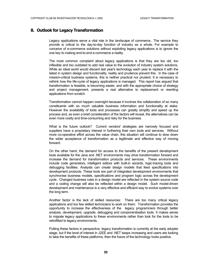#### <span id="page-37-0"></span>**8. Outlook for Legacy Transformation**

Legacy applications serve a vital role in the landscape of commerce.. The service they provide is critical to the day-to-day function of industry as a whole. For example to conceive of e-commerce solutions without exploiting legacy applications is to ignore the one key to making end-to-end e-commerce a reality.

The most common complaint about legacy applications is that they are too old, too inflexible and too outdated to add real value to the evolution of industry system solutions. While an ideal world would discard last year's technology each year to replace it with the latest in system design and functionality, reality and prudence prevent this. In the case of mission-critical business systems, this is neither practical nor prudent. It is necessary to rethink how the life-cycle of legacy applications is managed. This report has argued that transformation is feasible, is becoming easier, and with the appropriate choice of strategy and project management, presents a real alternative to replacement or rewriting applications from scratch.

Transformation cannot happen overnight because it involves the collaboration of so many constituents with so much valuable business information and functionality at stake. However the availability of tools and processes can greatly simplify and speed up the process and, as even a brief consideration of the factors will reveal, the alternatives can be even more costly and time-consuming and risky for the business.

What is the future outlook? Current vendors' strategies are narrowly focused and suppliers have a proprietary interest in furthering their own tools and services. Without more co-operative effort across the value chain, this situation will continue to slow down the wider acceptance of transformation as a legitimate and effective way of moving forward.

On the other hand, the demand for access to the benefits of the present development tools available for the Java and .NET environments may drive transformation forward and increase the demand for transformation products and services. These environments include code generators, intelligent editors with built-in wizards, logic-tracing tools and debugging facilities. Analysts can create design models that feed specifications into development products. These tools are part of integrated development environments that synchronise business models, specifications and program logic across the development cycle. Changed business rules in a design model are reflected in the system source code and a coding change will also be reflected within a design model. Such model-driven development and maintenance is a very effective and efficient way to evolve systems over the long term.

Another factor is the lack of skilled resources: There are too many critical legacy applications and too few skilled technicians to work on them. Transformation provides the opportunity to increase the effectiveness of the legacy programmers through better analysis, development, upgrade, debugging and componentisation tools. It makes sense to migrate legacy applications to these environments rather than look for the tools to be retrofitted to legacy environments.

Putting these factors in perspective, legacy transformation is currently at the early adopter stage, but if the level of interest in J2EE and .NET keeps increasing and users are looking to take the benefits of these platforms, then the future of the technology looks positive.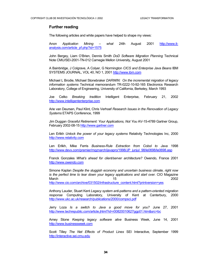#### **Further reading**

The following articles and white papers have helped to shape my views:

Anon *Application Mining – what* 24th August 2001 [http://www.it](http://www.it-analysis.com/article_pf.php?id=1575)[analysis.com/article\\_pf.php?id=1575](http://www.it-analysis.com/article_pf.php?id=1575)

John Bergey, Liam O'Brien, Dennis Smith *DoD Software Migration Planning* Technical Note CMU/SEI-2001-TN-012 Carnegie Mellon University, August 2001

A Bainbridge, J Colgrave, A Colyer, G Normington *CICS and Enterprise Java Beans* IBM SYSTEMS JOURNAL, VOL 40, NO 1, 2001 [http://www.ibm.com](http://www.ibm.com/)

Michael L Brodie, Michael Stonebraker *DARWIN: On the incremental migration of legacy information systems* Technical memorandum TR-0222-10-92-165 Electronics Research Laboratory, College of Engineering, University of California, Berkeley, March 1993

Joe Celko *Breaking tradition* Intelligent Enterprise, February 21, 2002 [http://www.intelligententerprise.com](http://www.intelligententerprise.com/)

Arie van Deursen, Paul Klint, Chris Verhoef *Research Issues in the Renovation of Legacy Systems* ETAPS Conference, 1999

Jim Duggan *Graceful Retirement: Your Applications, Not You* AV-15-4789 Gartner Group, February 2002-08-15 [http://www.gartner.com](http://www.gartner.com/)

Len Erlikh *Unlock the power of your legacy systems* Relativity Technologies Inc, 2000 [http://www.relativity.com](http://www.relativity.com/)

Len Erlikh, Mike Ferris *Business-Rule Extraction from Cobol to Java* 1998 [http://www.devx.com/premier/mgznarch/javapro/1998/JP\\_junjul\\_98/le0698/le0698.asp](http://www.devx.com/premier/mgznarch/javapro/1998/JP_junjul_98/le0698/le0698.asp)

Franck Gonzales *What's ahead for client/server architecture?* Owendo, France 2001 [http://www.owendo.com](http://www.owendo.com/)

Simone Kaplan *Despite the sluggish economy and uncertain business climate, right now is the perfect time to tear down your legacy applications and start over.* CIO Magazine March 15 2002

[http://www.cio.com/archive/031502/infrastructure\\_content.html?printversion=yes](http://www.cio.com/archive/031502/infrastructure_content.html?printversion=yes)

Anthony Lauder, Stuart Kent *Legacy system anti-patterns and a pattern-oriented migration response* Computing Laboratory, University of Kent at Canterbury, 2000 <http://www.ukc.ac.uk/research/publications/2000/compsci.pdf>

Jerry Loza *Is a switch to Java a good move for you?* June 27, 2001 <http://www.techrepublic.com/article.jhtml?id=r00820010627ggp01.htm&src=bc>

Amey Stone *Keeping legacy software alive* Business Week, June 14, 2001 [http://www.businessweek.com](http://www.businessweek.com/)

Scott Tilley *The Net Effects of Product Lines* SEI Interactive, September 1999 [http://interactive.sei.cmu.edu](http://interactive.sei.cmu.edu/)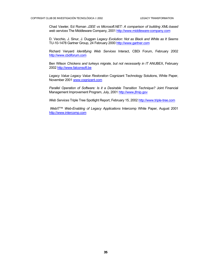Chad Vawter, Ed Roman *J2EE vs Microsoft.NET: A comparison of building XML-based web services* The Middleware Company, 2001 [http://www.middleware-company.com](http://www.middleware-company.com/)

D. Vecchio, J. Sinur, J. Duggan *Legacy Evolution: Not as Black and White as It Seems*  TU-10-1478 Gartner Group, 24 February 2000 [http://www.gartner.com](http://www.gartner.com/)

Richard Veryard *Identifying Web Services* Interact, CBDi Forum, February 2002 [http://www.cbdiforum.com](http://www.cbdi.com/)

Ben Wilson *Chickens and turkeys migrate, but not necessarily in IT ANUBEX*, February 2002 [http://www.falconsoft.be](http://www.falconsoft.be/)

*Legacy Value Legacy Value Restoration* Cognizant Technology Solutions, White Paper, November 2001 [www.cognizant.com](http://www.cognizant.com/)

*Parallel Operation of Software: Is it a Desirable Transition Technique?* Joint Financial Management Improvement Program, July, 2001 [http://www.jfmip.gov](http://www.jfmip.gov/)

*Web Services* Triple Tree Spotlight Report, February 15, 2002 [http://www.triple-tree.com](http://www.triple-tree.com/)

*WebIT™ Web-Enabling of Legacy Applications* Intercomp White Paper, August 2001 [http://www.intercomp.com](http://www.intercomp.com/)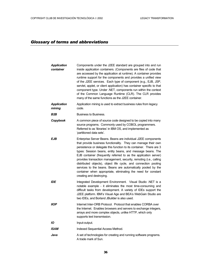### *Glossary of terms and abbreviations*

| <b>Application</b><br>container | Components under the J2EE standard are grouped into and run<br>inside application containers. (Components are files of code that<br>are accessed by the application at runtime). A container provides<br>runtime support for the components and provides a unified view<br>of the J2EE services. Each type of component (e.g., EJB, JSP,<br>servlet, applet, or client application) has container specific to that<br>component type. Under .NET, components run within the context<br>of the Common Language Runtime (CLR). The CLR provides<br>many of the same functions as the J2EE container.                                             |
|---------------------------------|------------------------------------------------------------------------------------------------------------------------------------------------------------------------------------------------------------------------------------------------------------------------------------------------------------------------------------------------------------------------------------------------------------------------------------------------------------------------------------------------------------------------------------------------------------------------------------------------------------------------------------------------|
| <b>Application</b><br>mining    | Application mining is used to extract business rules from legacy<br>code.                                                                                                                                                                                                                                                                                                                                                                                                                                                                                                                                                                      |
| B2B                             | Business to Business.                                                                                                                                                                                                                                                                                                                                                                                                                                                                                                                                                                                                                          |
| Copybook                        | A common piece of source code designed to be copied into many<br>source programs. Commonly used by COBOL programmers.<br>Referred to as 'libraries' in IBM OS, and implemented as<br>'partitioned data sets'.                                                                                                                                                                                                                                                                                                                                                                                                                                  |
| EJB                             | Enterprise Server Beans. Beans are individual J2EE components<br>that provide business functionality. They can manage their own<br>persistence or delegate this function to its container. There are 3<br>types: Session beans, entity beans, and message beans. The<br>EJB container (frequently referred to as the application server)<br>provides transaction management, security, remoting (i.e., calling<br>distributed objects), object life cycle, and connection pooling<br>services to the beans. Beans are automatically pooled by the<br>container when appropriate, eliminating the need for constant<br>creating and destroying. |
| IDE                             | Integrated Development Environment. Visual Studio .NET is a<br>notable example - it eliminates the most time-consuming and<br>difficult tasks from development. A variety of IDEs support the<br>J2EE platform. IBM's Visual Age and BEA's WebGain Studio are<br>two IDEs, and Borland JBuilder is also used.                                                                                                                                                                                                                                                                                                                                  |
| <b>IIOP</b>                     | Internet Inter-ORB Protocol. Protocol that enables CORBA over<br>the Internet. Enables browsers and servers to exchange integers,<br>arrays and more complex objects, unlike HTTP, which only<br>supports text transmission.                                                                                                                                                                                                                                                                                                                                                                                                                   |
| IО                              | Input-output.                                                                                                                                                                                                                                                                                                                                                                                                                                                                                                                                                                                                                                  |
| ISAM                            | Indexed Sequential Access Method.                                                                                                                                                                                                                                                                                                                                                                                                                                                                                                                                                                                                              |
| Java                            | A set of technologies for creating and running software programs.<br>A trade mark of Sun.                                                                                                                                                                                                                                                                                                                                                                                                                                                                                                                                                      |